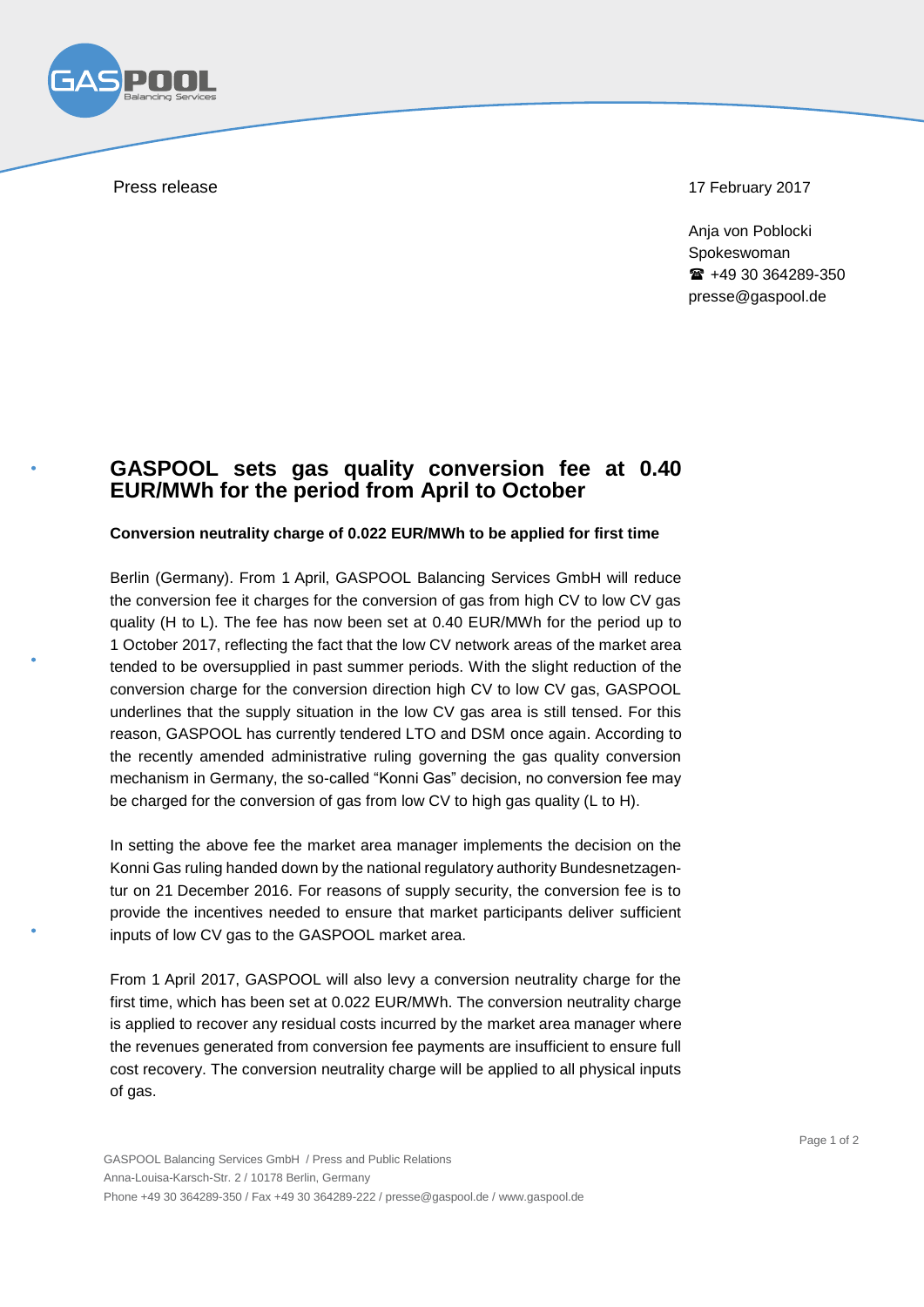

Press release 17 February 2017

Ania von Poblocki Spokeswoman  $\text{ }$  +49 30 364289-350 presse@gaspool.de

## **GASPOOL sets gas quality conversion fee at 0.40 EUR/MWh for the period from April to October**

## **Conversion neutrality charge of 0.022 EUR/MWh to be applied for first time**

Berlin (Germany). From 1 April, GASPOOL Balancing Services GmbH will reduce the conversion fee it charges for the conversion of gas from high CV to low CV gas quality (H to L). The fee has now been set at 0.40 EUR/MWh for the period up to 1 October 2017, reflecting the fact that the low CV network areas of the market area tended to be oversupplied in past summer periods. With the slight reduction of the conversion charge for the conversion direction high CV to low CV gas, GASPOOL underlines that the supply situation in the low CV gas area is still tensed. For this reason, GASPOOL has currently tendered LTO and DSM once again. According to the recently amended administrative ruling governing the gas quality conversion mechanism in Germany, the so-called "Konni Gas" decision, no conversion fee may be charged for the conversion of gas from low CV to high gas quality (L to H).

In setting the above fee the market area manager implements the decision on the Konni Gas ruling handed down by the national regulatory authority Bundesnetzagentur on 21 December 2016. For reasons of supply security, the conversion fee is to provide the incentives needed to ensure that market participants deliver sufficient inputs of low CV gas to the GASPOOL market area.

From 1 April 2017, GASPOOL will also levy a conversion neutrality charge for the first time, which has been set at 0.022 EUR/MWh. The conversion neutrality charge is applied to recover any residual costs incurred by the market area manager where the revenues generated from conversion fee payments are insufficient to ensure full cost recovery. The conversion neutrality charge will be applied to all physical inputs of gas.